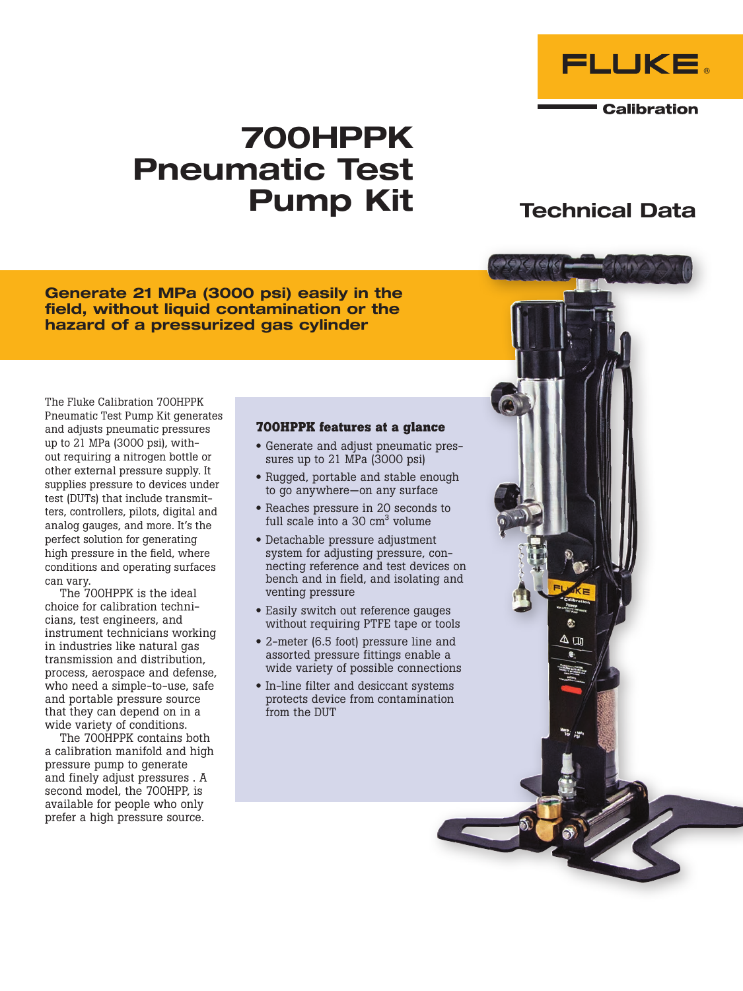

**Calibration** 

# 700HPPK Pneumatic Test Pump Kit Technical Data

Generate 21 MPa (3000 psi) easily in the field, without liquid contamination or the hazard of a pressurized gas cylinder

The Fluke Calibration 700HPPK Pneumatic Test Pump Kit generates and adjusts pneumatic pressures up to 21 MPa (3000 psi), without requiring a nitrogen bottle or other external pressure supply. It supplies pressure to devices under test (DUTs) that include transmitters, controllers, pilots, digital and analog gauges, and more. It's the perfect solution for generating high pressure in the field, where conditions and operating surfaces can vary.

The 700HPPK is the ideal choice for calibration technicians, test engineers, and instrument technicians working in industries like natural gas transmission and distribution, process, aerospace and defense, who need a simple-to-use, safe and portable pressure source that they can depend on in a wide variety of conditions.

The 700HPPK contains both a calibration manifold and high pressure pump to generate and finely adjust pressures . A second model, the 700HPP, is available for people who only prefer a high pressure source.

#### **700HPPK features at a glance**

- Generate and adjust pneumatic pressures up to 21 MPa (3000 psi)
- Rugged, portable and stable enough to go anywhere—on any surface
- Reaches pressure in 20 seconds to full scale into a  $30 \text{ cm}^3$  volume
- Detachable pressure adjustment system for adjusting pressure, connecting reference and test devices on bench and in field, and isolating and venting pressure
- Easily switch out reference gauges without requiring PTFE tape or tools
- 2-meter (6.5 foot) pressure line and assorted pressure fittings enable a wide variety of possible connections
- In-line filter and desiccant systems protects device from contamination from the DUT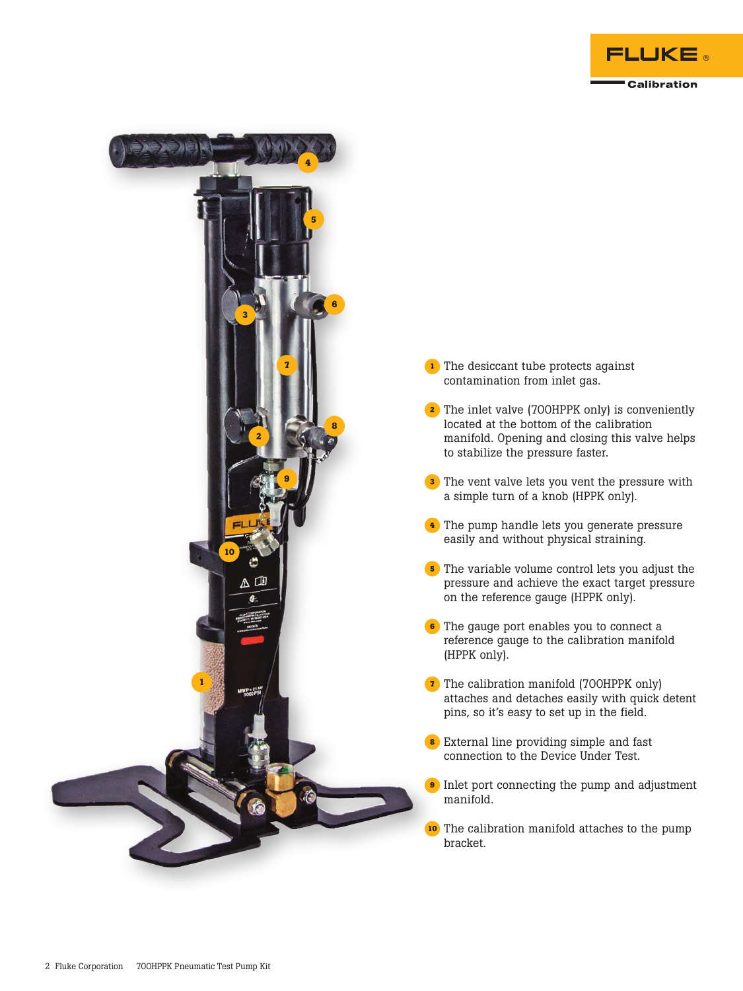

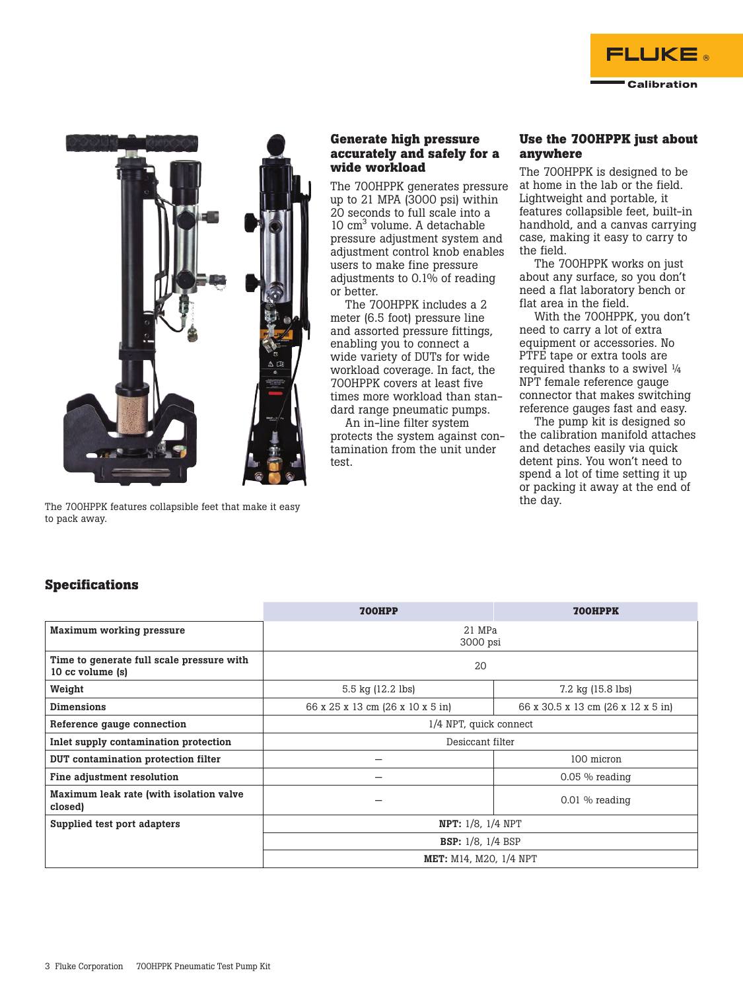



The 700HPPK features collapsible feet that make it easy to pack away.

#### **Generate high pressure accurately and safely for a wide workload**

The 700HPPK generates pressure up to 21 MPA (3000 psi) within 20 seconds to full scale into a 10 cm3 volume. A detachable pressure adjustment system and adjustment control knob enables users to make fine pressure adjustments to 0.1% of reading or better.

The 700HPPK includes a 2 meter (6.5 foot) pressure line and assorted pressure fittings, enabling you to connect a wide variety of DUTs for wide workload coverage. In fact, the 700HPPK covers at least five times more workload than standard range pneumatic pumps.

An in-line filter system protects the system against contamination from the unit under test.

### **Use the 700HPPK just about anywhere**

The 700HPPK is designed to be at home in the lab or the field. Lightweight and portable, it features collapsible feet, built-in handhold, and a canvas carrying case, making it easy to carry to the field.

The 700HPPK works on just about any surface, so you don't need a flat laboratory bench or flat area in the field.

With the 700HPPK, you don't need to carry a lot of extra equipment or accessories. No PTFE tape or extra tools are required thanks to a swivel ¼ NPT female reference gauge connector that makes switching reference gauges fast and easy.

The pump kit is designed so the calibration manifold attaches and detaches easily via quick detent pins. You won't need to spend a lot of time setting it up or packing it away at the end of the day.

## **Specifications**

|                                                               | <b>700HPP</b>                    | <b>700HPPK</b>                      |  |  |  |
|---------------------------------------------------------------|----------------------------------|-------------------------------------|--|--|--|
| <b>Maximum working pressure</b>                               | 21 MPa<br>3000 psi               |                                     |  |  |  |
| Time to generate full scale pressure with<br>10 cc volume (s) | 20                               |                                     |  |  |  |
| Weight                                                        | 5.5 kg (12.2 lbs)                | $7.2 \text{ kg} (15.8 \text{ lbs})$ |  |  |  |
| <b>Dimensions</b>                                             | 66 x 25 x 13 cm (26 x 10 x 5 in) | 66 x 30.5 x 13 cm (26 x 12 x 5 in)  |  |  |  |
| Reference gauge connection                                    | 1/4 NPT, quick connect           |                                     |  |  |  |
| Inlet supply contamination protection                         | Desiccant filter                 |                                     |  |  |  |
| DUT contamination protection filter                           | 100 micron                       |                                     |  |  |  |
| Fine adjustment resolution                                    |                                  | $0.05\%$ reading                    |  |  |  |
| Maximum leak rate (with isolation valve<br>closed)            |                                  | $0.01\%$ reading                    |  |  |  |
| Supplied test port adapters                                   | NPT: 1/8, 1/4 NPT                |                                     |  |  |  |
|                                                               | <b>BSP:</b> 1/8, 1/4 BSP         |                                     |  |  |  |
|                                                               | <b>MET:</b> M14, M20, 1/4 NPT    |                                     |  |  |  |